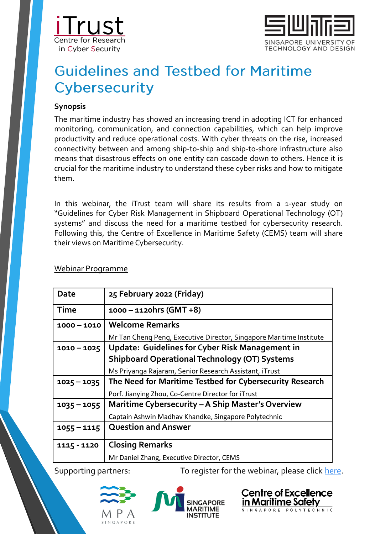



# **Guidelines and Testbed for Maritime** Cybersecurity

### **Synopsis**

The maritime industry has showed an increasing trend in adopting ICT for enhanced monitoring, communication, and connection capabilities, which can help improve productivity and reduce operational costs. With cyber threats on the rise, increased connectivity between and among ship-to-ship and ship-to-shore infrastructure also means that disastrous effects on one entity can cascade down to others. Hence it is crucial for the maritime industry to understand these cyber risks and how to mitigate them.

In this webinar, the iTrust team will share its results from a 1-year study on "Guidelines for Cyber Risk Management in Shipboard Operational Technology (OT) systems" and discuss the need for a maritime testbed for cybersecurity research. Following this, the Centre of Excellence in Maritime Safety (CEMS) team will share their views on Maritime Cybersecurity.

#### Webinar Programme

| Date          | 25 February 2022 (Friday)                                           |
|---------------|---------------------------------------------------------------------|
| Time          | $1000 - 1120$ hrs (GMT +8)                                          |
| $1000 - 1010$ | <b>Welcome Remarks</b>                                              |
|               | Mr Tan Cheng Peng, Executive Director, Singapore Maritime Institute |
| $1010 - 1025$ | Update: Guidelines for Cyber Risk Management in                     |
|               | <b>Shipboard Operational Technology (OT) Systems</b>                |
|               | Ms Priyanga Rajaram, Senior Research Assistant, iTrust              |
| $1025 - 1035$ | The Need for Maritime Testbed for Cybersecurity Research            |
|               | Porf. Jianying Zhou, Co-Centre Director for iTrust                  |
| $1035 - 1055$ | Maritime Cybersecurity - A Ship Master's Overview                   |
|               | Captain Ashwin Madhav Khandke, Singapore Polytechnic                |
| $1055 - 1115$ | <b>Question and Answer</b>                                          |
| 1115 - 1120   | <b>Closing Remarks</b>                                              |
|               | Mr Daniel Zhang, Executive Director, CEMS                           |

Supporting partners: To register for the webinar, please click [here](https://us02web.zoom.us/webinar/register/WN_dW47_fF6QzOSlkuwEmnBlQ).





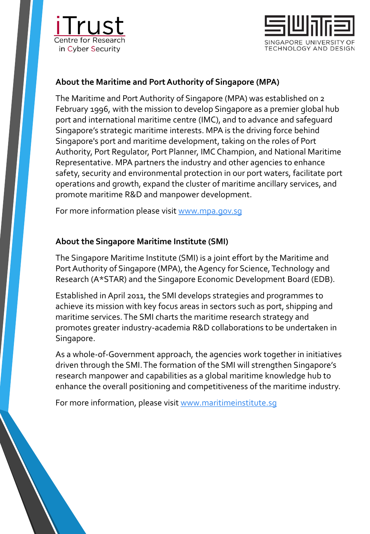



# **About the Maritime and Port Authority of Singapore (MPA)**

The Maritime and Port Authority of Singapore (MPA) was established on 2 February 1996, with the mission to develop Singapore as a premier global hub port and international maritime centre (IMC), and to advance and safeguard Singapore's strategic maritime interests. MPA is the driving force behind Singapore's port and maritime development, taking on the roles of Port Authority, Port Regulator, Port Planner, IMC Champion, and National Maritime Representative. MPA partners the industry and other agencies to enhance safety, security and environmental protection in our port waters, facilitate port operations and growth, expand the cluster of maritime ancillary services, and promote maritime R&D and manpower development.

For more information please visit [www.mpa.gov.sg](http://www.mpa.gov.sg/)

## **About the Singapore Maritime Institute (SMI)**

The Singapore Maritime Institute (SMI) is a joint effort by the Maritime and Port Authority of Singapore (MPA), the Agency for Science, Technology and Research (A\*STAR) and the Singapore Economic Development Board (EDB).

Established in April 2011, the SMI develops strategies and programmes to achieve its mission with key focus areas in sectors such as port, shipping and maritime services. The SMI charts the maritime research strategy and promotes greater industry-academia R&D collaborations to be undertaken in Singapore.

As a whole-of-Government approach, the agencies work together in initiatives driven through the SMI. The formation of the SMI will strengthen Singapore's research manpower and capabilities as a global maritime knowledge hub to enhance the overall positioning and competitiveness of the maritime industry.

For more information, please visit [www.maritimeinstitute.sg](http://www.maritimeinstitute.sg/)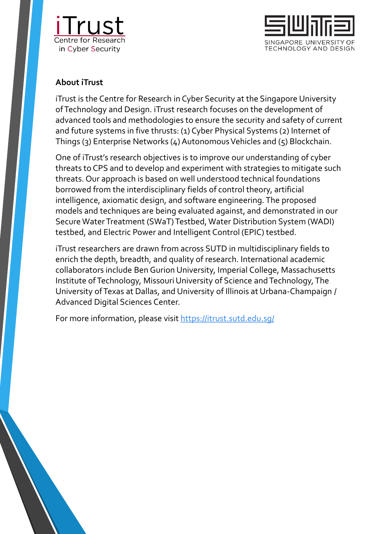



## **About iTrust**

iTrust is the Centre for Research in Cyber Security at the Singapore University of Technology and Design. iTrust research focuses on the development of advanced tools and methodologies to ensure the security and safety of current and future systems in five thrusts: (1) Cyber Physical Systems (2) Internet of Things (3) Enterprise Networks (4) Autonomous Vehicles and (5) Blockchain.

One of iTrust's research objectives is to improve our understanding of cyber threats to CPS and to develop and experiment with strategies to mitigate such threats. Our approach is based on well understood technical foundations borrowed from the interdisciplinary fields of control theory, artificial intelligence, axiomatic design, and software engineering. The proposed models and techniques are being evaluated against, and demonstrated in our Secure Water Treatment (SWaT) Testbed, Water Distribution System (WADI) testbed, and Electric Power and Intelligent Control (EPIC) testbed.

iTrust researchers are drawn from across SUTD in multidisciplinary fields to enrich the depth, breadth, and quality of research. International academic collaborators include Ben Gurion University, Imperial College, Massachusetts Institute of Technology, Missouri University of Science and Technology, The University of Texas at Dallas, and University of Illinois at Urbana-Champaign / Advanced Digital Sciences Center.

For more information, please visit https://itrust.sutd.edu.sq/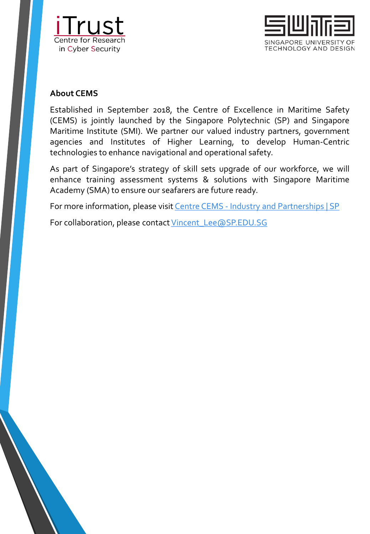



## **About CEMS**

Established in September 2018, the Centre of Excellence in Maritime Safety (CEMS) is jointly launched by the Singapore Polytechnic (SP) and Singapore Maritime Institute (SMI). We partner our valued industry partners, government agencies and Institutes of Higher Learning, to develop Human-Centric technologies to enhance navigational and operational safety.

As part of Singapore's strategy of skill sets upgrade of our workforce, we will enhance training assessment systems & solutions with Singapore Maritime Academy (SMA) to ensure our seafarers are future ready.

For more information, please visit Centre CEMS - Industry and [Partnerships](https://industry.sp.edu.sg/cems/) | SP

For collaboration, please contact [Vincent\\_Lee@SP.EDU.SG](mailto:Vincent_Lee@SP.EDU.SG)